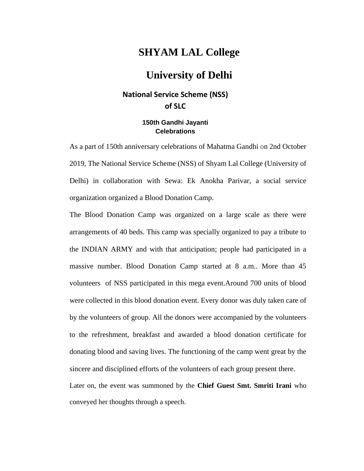## **SHYAM LAL College**

## **University of Delhi**

## **National Service Scheme (NSS) of SLC**

## **150th Gandhi Jayanti Celebrations**

As a part of 150th anniversary celebrations of Mahatma Gandhi on 2nd October 2019, The National Service Scheme (NSS) of Shyam Lal College (University of Delhi) in collaboration with Sewa: Ek Anokha Parivar, a social service organization organized a Blood Donation Camp.

The Blood Donation Camp was organized on a large scale as there were arrangements of 40 beds. This camp was specially organized to pay a tribute to the INDIAN ARMY and with that anticipation; people had participated in a massive number. Blood Donation Camp started at 8 a.m.. More than 45 volunteers of NSS participated in this mega event.Around 700 units of blood were collected in this blood donation event. Every donor was duly taken care of by the volunteers of group. All the donors were accompanied by the volunteers to the refreshment, breakfast and awarded a blood donation certificate for donating blood and saving lives. The functioning of the camp went great by the sincere and disciplined efforts of the volunteers of each group present there. Later on, the event was summoned by the **Chief Guest Smt. Smriti Irani** who conveyed her thoughts through a speech.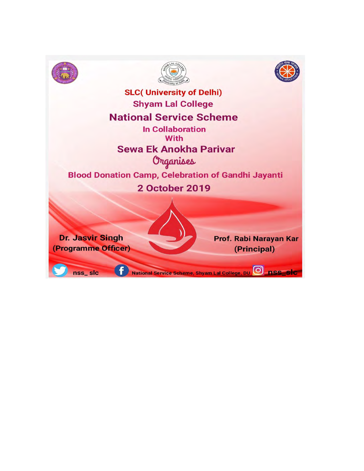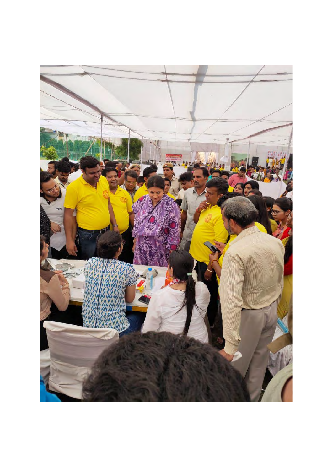